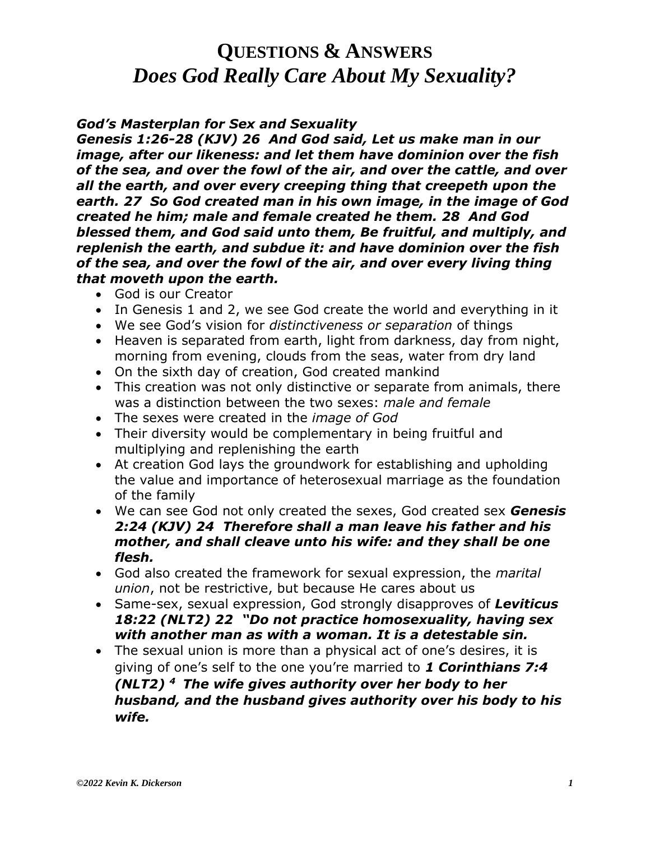#### *God's Masterplan for Sex and Sexuality*

*Genesis 1:26-28 (KJV) 26 And God said, Let us make man in our image, after our likeness: and let them have dominion over the fish of the sea, and over the fowl of the air, and over the cattle, and over all the earth, and over every creeping thing that creepeth upon the earth. 27 So God created man in his own image, in the image of God created he him; male and female created he them. 28 And God blessed them, and God said unto them, Be fruitful, and multiply, and replenish the earth, and subdue it: and have dominion over the fish of the sea, and over the fowl of the air, and over every living thing that moveth upon the earth.*

- God is our Creator
- In Genesis 1 and 2, we see God create the world and everything in it
- We see God's vision for *distinctiveness or separation* of things
- Heaven is separated from earth, light from darkness, day from night, morning from evening, clouds from the seas, water from dry land
- On the sixth day of creation, God created mankind
- This creation was not only distinctive or separate from animals, there was a distinction between the two sexes: *male and female*
- The sexes were created in the *image of God*
- Their diversity would be complementary in being fruitful and multiplying and replenishing the earth
- At creation God lays the groundwork for establishing and upholding the value and importance of heterosexual marriage as the foundation of the family
- We can see God not only created the sexes, God created sex *Genesis 2:24 (KJV) 24 Therefore shall a man leave his father and his mother, and shall cleave unto his wife: and they shall be one flesh.*
- God also created the framework for sexual expression, the *marital union*, not be restrictive, but because He cares about us
- Same-sex, sexual expression, God strongly disapproves of *Leviticus 18:22 (NLT2) 22 "Do not practice homosexuality, having sex with another man as with a woman. It is a detestable sin.*
- The sexual union is more than a physical act of one's desires, it is giving of one's self to the one you're married to *1 Corinthians 7:4 (NLT2) <sup>4</sup>The wife gives authority over her body to her husband, and the husband gives authority over his body to his wife.*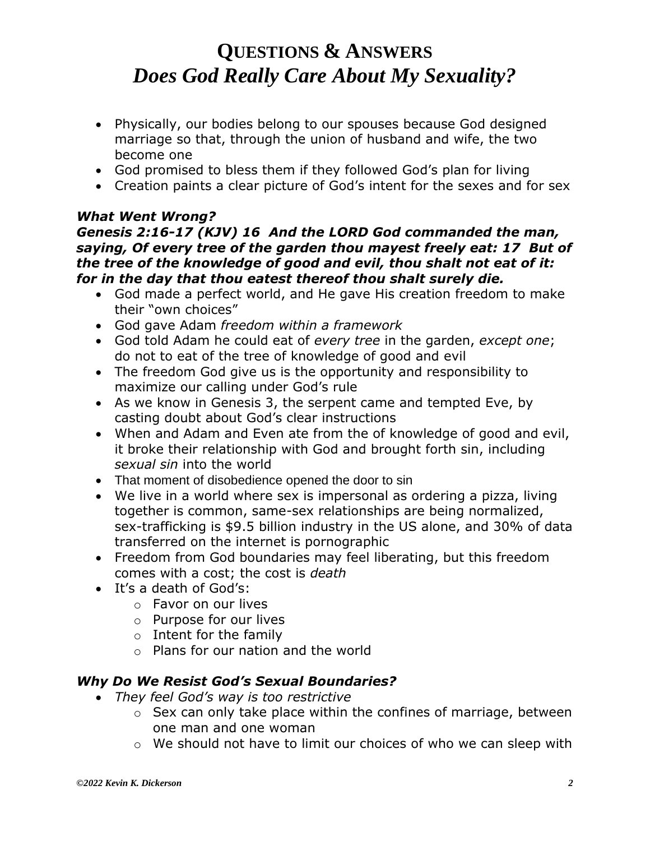- Physically, our bodies belong to our spouses because God designed marriage so that, through the union of husband and wife, the two become one
- God promised to bless them if they followed God's plan for living
- Creation paints a clear picture of God's intent for the sexes and for sex

#### *What Went Wrong? Genesis 2:16-17 (KJV) 16 And the LORD God commanded the man, saying, Of every tree of the garden thou mayest freely eat: 17 But of the tree of the knowledge of good and evil, thou shalt not eat of it: for in the day that thou eatest thereof thou shalt surely die.*

- God made a perfect world, and He gave His creation freedom to make their "own choices"
- God gave Adam *freedom within a framework*
- God told Adam he could eat of *every tree* in the garden, *except one*; do not to eat of the tree of knowledge of good and evil
- The freedom God give us is the opportunity and responsibility to maximize our calling under God's rule
- As we know in Genesis 3, the serpent came and tempted Eve, by casting doubt about God's clear instructions
- When and Adam and Even ate from the of knowledge of good and evil, it broke their relationship with God and brought forth sin, including *sexual sin* into the world
- That moment of disobedience opened the door to sin
- We live in a world where sex is impersonal as ordering a pizza, living together is common, same-sex relationships are being normalized, sex-trafficking is \$9.5 billion industry in the US alone, and 30% of data transferred on the internet is pornographic
- Freedom from God boundaries may feel liberating, but this freedom comes with a cost; the cost is *death*
- It's a death of God's:
	- o Favor on our lives
	- o Purpose for our lives
	- $\circ$  Intent for the family
	- o Plans for our nation and the world

### *Why Do We Resist God's Sexual Boundaries?*

- *They feel God's way is too restrictive* 
	- o Sex can only take place within the confines of marriage, between one man and one woman
	- o We should not have to limit our choices of who we can sleep with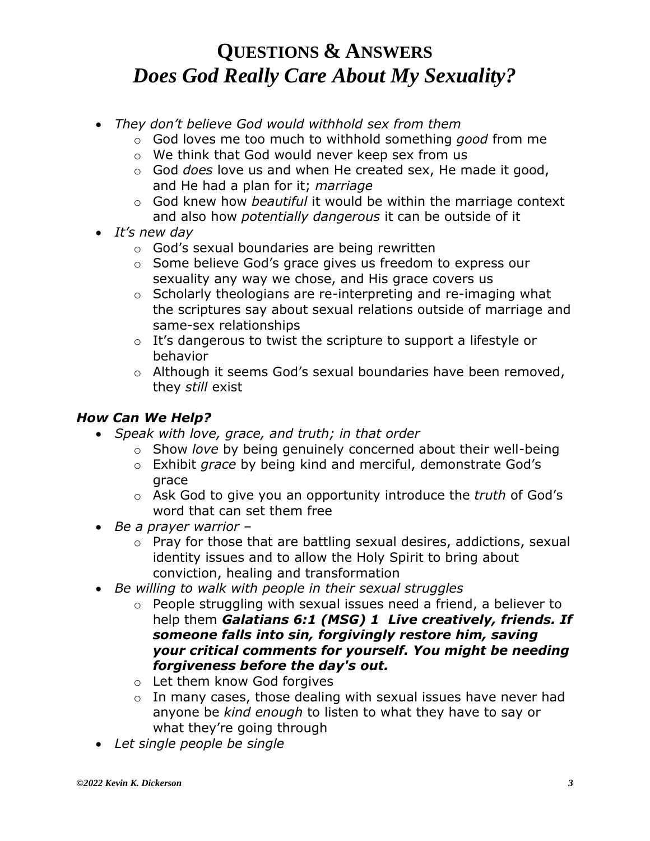- *They don't believe God would withhold sex from them* 
	- o God loves me too much to withhold something *good* from me
	- o We think that God would never keep sex from us
	- o God *does* love us and when He created sex, He made it good, and He had a plan for it; *marriage*
	- o God knew how *beautiful* it would be within the marriage context and also how *potentially dangerous* it can be outside of it
- *It's new day*
	- o God's sexual boundaries are being rewritten
	- o Some believe God's grace gives us freedom to express our sexuality any way we chose, and His grace covers us
	- o Scholarly theologians are re-interpreting and re-imaging what the scriptures say about sexual relations outside of marriage and same-sex relationships
	- o It's dangerous to twist the scripture to support a lifestyle or behavior
	- o Although it seems God's sexual boundaries have been removed, they *still* exist

### *How Can We Help?*

- *Speak with love, grace, and truth; in that order*
	- o Show *love* by being genuinely concerned about their well-being
	- o Exhibit *grace* by being kind and merciful, demonstrate God's grace
	- o Ask God to give you an opportunity introduce the *truth* of God's word that can set them free
- *Be a prayer warrior*
	- o Pray for those that are battling sexual desires, addictions, sexual identity issues and to allow the Holy Spirit to bring about conviction, healing and transformation
- *Be willing to walk with people in their sexual struggles*
	- o People struggling with sexual issues need a friend, a believer to help them *Galatians 6:1 (MSG) 1 Live creatively, friends. If someone falls into sin, forgivingly restore him, saving your critical comments for yourself. You might be needing forgiveness before the day's out.*
	- o Let them know God forgives
	- o In many cases, those dealing with sexual issues have never had anyone be *kind enough* to listen to what they have to say or what they're going through
- *Let single people be single*